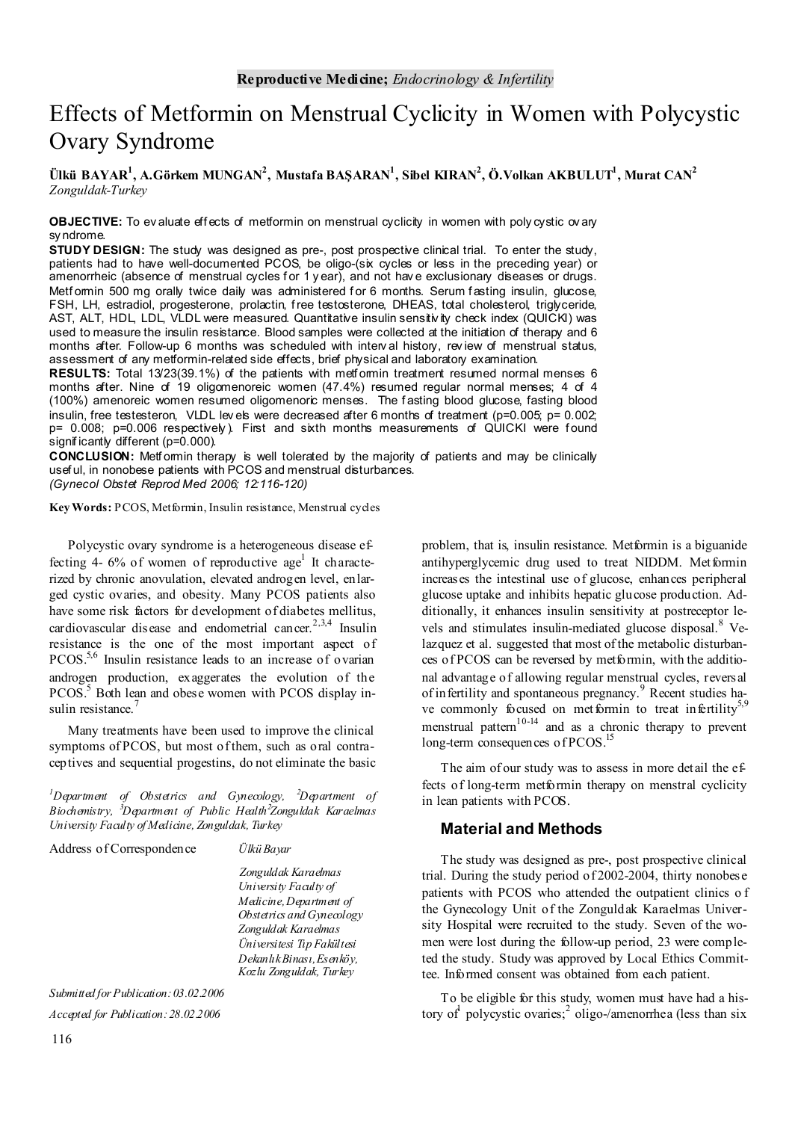# Effects of Metformin on Menstrual Cyclicity in Women with Polycystic Ovary Syndrome

**Ülkü BAYAR1 , A.Görkem MUNGAN2 , Mustafa BAŞARAN1 , Sibel KIRAN2 , Ö.Volkan AKBULUT1 , Murat CAN2** *Zonguldak-Turkey* 

**OBJECTIVE:** To ev aluate eff ects of metformin on menstrual cyclicity in women with poly cystic ov ary sy ndrome.

**STUDY DESIGN:** The study was designed as pre-, post prospective clinical trial. To enter the study, patients had to have well-documented PCOS, be oligo-(six cycles or less in the preceding year) or amenorrheic (absence of menstrual cycles for 1 y ear), and not have exclusionary diseases or drugs. Metformin 500 mg orally twice daily was administered for 6 months. Serum fasting insulin, glucose, FSH, LH, estradiol, progesterone, prolactin, free testosterone, DHEAS, total cholesterol, triglyceride, AST, ALT, HDL, LDL, VLDL were measured. Quantitative insulin sensitivity check index (QUICKI) was used to measure the insulin resistance. Blood samples were collected at the initiation of therapy and 6 months after. Follow-up 6 months was scheduled with interval history, review of menstrual status, assessment of any metformin-related side effects, brief physical and laboratory examination.

**RESULTS:** Total 13/23(39.1%) of the patients with metformin treatment resumed normal menses 6 months after. Nine of 19 oligomenoreic women (47.4%) resumed regular normal menses; 4 of 4 (100%) amenoreic women resumed oligomenoric menses. The f asting blood glucose, fasting blood insulin, free testesteron, VLDL lev els were decreased after 6 months of treatment ( $p=0.005$ ;  $p=0.002$ ; p= 0.008; p=0.006 respectively). First and sixth months measurements of QUICKI were found significantly different (p=0.000).

**CONCLUSION:** Metformin therapy is well tolerated by the majority of patients and may be clinically usef ul, in nonobese patients with PCOS and menstrual disturbances.

*(Gynecol Obstet Reprod Med 2006; 12:116-120)* 

**Key Words:** PCOS, Metformin, Insulin resistance, Menstrual cycles

Polycystic ovary syndrome is a heterogeneous disease effecting 4- 6% of women of reproductive age<sup>1</sup> It characterized by chronic anovulation, elevated androgen level, enlarged cystic ovaries, and obesity. Many PCOS patients also have some risk factors for development of diabetes mellitus, cardiovascular disease and endometrial cancer.<sup>2,3,4</sup> Insulin resistance is the one of the most important aspect of PCOS.<sup>5,6</sup> Insulin resistance leads to an increase of ovarian androgen production, exaggerates the evolution of the PCOS.<sup>5</sup> Both lean and obese women with PCOS display insulin resistance.<sup>7</sup>

Many treatments have been used to improve the clinical symptoms of PCOS, but most of them, such as oral contraceptives and sequential progestins, do not eliminate the basic

*1 Department of Obstetrics and Gynecology, <sup>2</sup> Department of Biochemistry, <sup>3</sup> Department of Public Health<sup>2</sup> Zonguldak Karaelmas University Faculty of Medicine, Zonguldak, Turkey* 

Address of Correspondence *Ülkü Bayar* 

*Zonguldak Karaelmas University Faculty of Medicine, Department of Obstetrics and Gynecology Zonguldak Karaelmas Üniversitesi Tıp Fakültesi Dekanlık Binası, Esenköy, Kozlu Zonguldak, Turkey* 

*Submitted for Publication: 03.02.2006 Accepted for Publication: 28.02.2006* 

problem, that is, insulin resistance. Metformin is a biguanide antihyperglycemic drug used to treat NIDDM. Metformin increases the intestinal use of glucose, enhances peripheral glucose uptake and inhibits hepatic glucose production. Additionally, it enhances insulin sensitivity at postreceptor levels and stimulates insulin-mediated glucose disposal.<sup>8</sup> Velazquez et al. suggested that most of the metabolic disturbances of PCOS can be reversed by metformin, with the additional advantage of allowing regular menstrual cycles, reversal of infertility and spontaneous pregnancy.<sup>9</sup> Recent studies have commonly focused on metformin to treat infertility<sup>5,9</sup> menstrual pattern<sup>10-14</sup> and as a chronic therapy to prevent long-term consequences of PCOS.<sup>15</sup>

The aim of our study was to assess in more detail the effects of long-term metformin therapy on menstral cyclicity in lean patients with PCOS.

## **Material and Methods**

The study was designed as pre-, post prospective clinical trial. During the study period of 2002-2004, thirty nonobese patients with PCOS who attended the outpatient clinics o f the Gynecology Unit of the Zonguldak Karaelmas University Hospital were recruited to the study. Seven of the women were lost during the follow-up period, 23 were completed the study. Study was approved by Local Ethics Committee. Informed consent was obtained from each patient.

To be eligible for this study, women must have had a history of polycystic ovaries;<sup>2</sup> oligo-/amenorrhea (less than six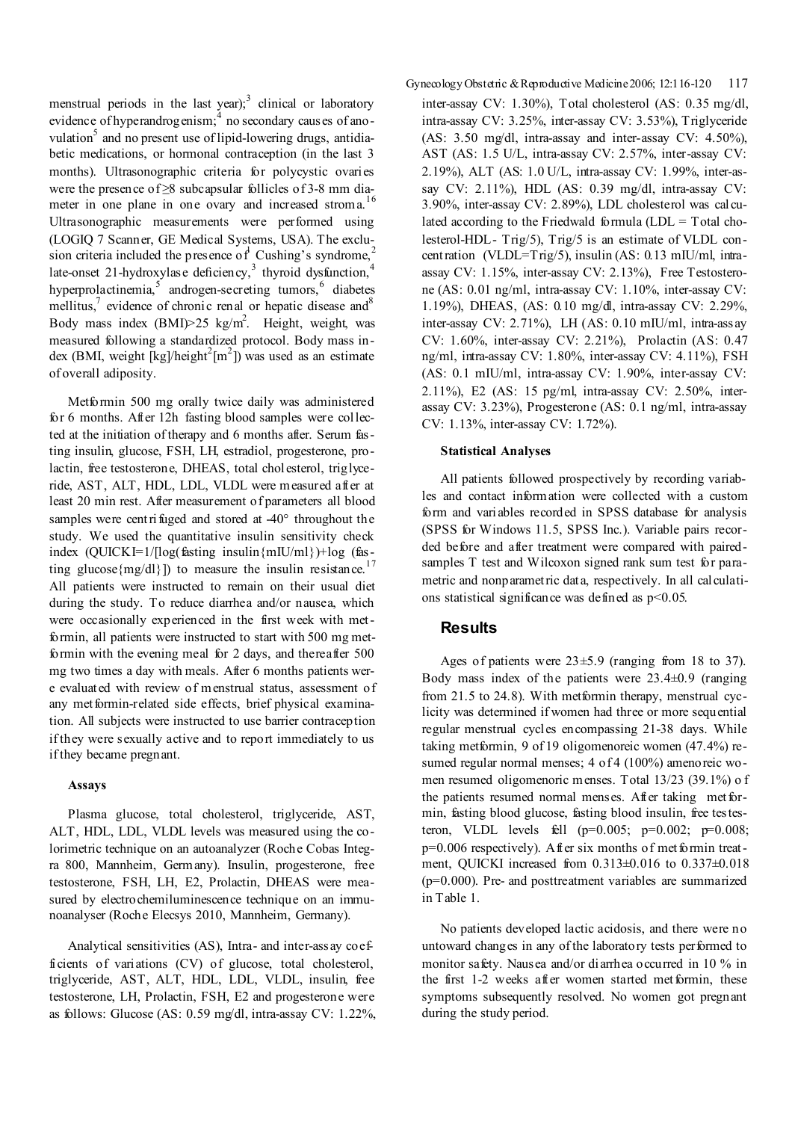menstrual periods in the last year); $3$  clinical or laboratory evidence of hyperandrogenism;<sup>4</sup> no secondary causes of anovulation<sup>5</sup> and no present use of lipid-lowering drugs, antidiabetic medications, or hormonal contraception (in the last 3 months). Ultrasonographic criteria for polycystic ovaries were the presence of ≥8 subcapsular follicles of 3-8 mm diameter in one plane in one ovary and increased stroma.<sup>16</sup> Ultrasonographic measurements were performed using (LOGIQ 7 Scanner, GE Medical Systems, USA). The exclusion criteria included the presence of Cushing's syndrome,<sup>2</sup> late-onset 21-hydroxylase deficiency,<sup>3</sup> thyroid dysfunction,<sup>4</sup> hyperprolactinemia,  $5$  androgen-secreting tumors,  $6$  diabetes mellitus, $\frac{7}{1}$  evidence of chronic renal or hepatic disease and  $\frac{8}{1}$ Body mass index  $(BMI) > 25$  kg/m<sup>2</sup>. Height, weight, was measured following a standardized protocol. Body mass index (BMI, weight  $\left[\frac{kg}{\text{height}^2} \right]$ ) was used as an estimate of overall adiposity.

Metformin 500 mg orally twice daily was administered for 6 months. After 12h fasting blood samples were collected at the initiation of therapy and 6 months after. Serum fasting insulin, glucose, FSH, LH, estradiol, progesterone, prolactin, free testosterone, DHEAS, total cholesterol, triglyceride, AST, ALT, HDL, LDL, VLDL were measured after at least 20 min rest. After measurement of parameters all blood samples were centrifuged and stored at -40° throughout the study. We used the quantitative insulin sensitivity check index  $(QUICKI=1/[\log(fasting \; insulin\{mIU/mI\})+\log(fas-I/mI))$ ting glucose ${mg/dl}$ ]) to measure the insulin resistance.<sup>17</sup> All patients were instructed to remain on their usual diet during the study. To reduce diarrhea and/or nausea, which were occasionally experienced in the first week with metformin, all patients were instructed to start with 500 mg metformin with the evening meal for 2 days, and thereafter 500 mg two times a day with meals. After 6 months patients were evaluated with review of menstrual status, assessment of any met formin-related side effects, brief physical examination. All subjects were instructed to use barrier contraception if they were sexually active and to report immediately to us if they became pregnant.

#### **Assays**

Plasma glucose, total cholesterol, triglyceride, AST, ALT, HDL, LDL, VLDL levels was measured using the colorimetric technique on an autoanalyzer (Roche Cobas Integra 800, Mannheim, Germany). Insulin, progesterone, free testosterone, FSH, LH, E2, Prolactin, DHEAS were measured by electrochemiluminescence technique on an immunoanalyser (Roche Elecsys 2010, Mannheim, Germany).

Analytical sensitivities (AS), Intra- and inter-assay coefficients of variations (CV) of glucose, total cholesterol, triglyceride, AST, ALT, HDL, LDL, VLDL, insulin, free testosterone, LH, Prolactin, FSH, E2 and progesterone were as follows: Glucose (AS: 0.59 mg/dl, intra-assay CV: 1.22%, Gynecology Obstetric & Reproductive Medicine 2006; 12:116-120 117 inter-assay CV: 1.30%), Total cholesterol (AS: 0.35 mg/dl, intra-assay CV: 3.25%, inter-assay CV: 3.53%), Triglyceride (AS: 3.50 mg/dl, intra-assay and inter-assay CV: 4.50%), AST (AS: 1.5 U/L, intra-assay CV: 2.57%, inter-assay CV: 2.19%), ALT (AS: 1.0 U/L, intra-assay CV: 1.99%, inter-assay CV: 2.11%), HDL (AS: 0.39 mg/dl, intra-assay CV: 3.90%, inter-assay CV: 2.89%), LDL cholesterol was calculated according to the Friedwald formula (LDL = Total cholesterol-HDL- Trig/5), Trig/5 is an estimate of VLDL concentration (VLDL=Trig/5), insulin (AS: 0.13 mIU/ml, intraassay CV: 1.15%, inter-assay CV: 2.13%), Free Testosterone (AS: 0.01 ng/ml, intra-assay CV: 1.10%, inter-assay CV: 1.19%), DHEAS, (AS: 0.10 mg/dl, intra-assay CV: 2.29%, inter-assay CV: 2.71%), LH (AS: 0.10 mIU/ml, intra-assay CV: 1.60%, inter-assay CV: 2.21%), Prolactin (AS: 0.47 ng/ml, intra-assay CV: 1.80%, inter-assay CV: 4.11%), FSH (AS: 0.1 mIU/ml, intra-assay CV: 1.90%, inter-assay CV: 2.11%), E2 (AS: 15 pg/ml, intra-assay CV: 2.50%, interassay CV: 3.23%), Progesterone (AS: 0.1 ng/ml, intra-assay CV: 1.13%, inter-assay CV: 1.72%).

## **Statistical Analyses**

All patients followed prospectively by recording variables and contact information were collected with a custom form and variables recorded in SPSS database for analysis (SPSS for Windows 11.5, SPSS Inc.). Variable pairs recorded before and after treatment were compared with pairedsamples T test and Wilcoxon signed rank sum test for parametric and nonparametric data, respectively. In all calculations statistical significance was defined as  $p<0.05$ .

## **Results**

Ages of patients were  $23 \pm 5.9$  (ranging from 18 to 37). Body mass index of the patients were  $23.4\pm0.9$  (ranging from 21.5 to 24.8). With metformin therapy, menstrual cyclicity was determined if women had three or more sequential regular menstrual cycles encompassing 21-38 days. While taking metformin, 9 of 19 oligomenoreic women (47.4%) resumed regular normal menses; 4 of 4 (100%) amenoreic women resumed oligomenoric menses. Total 13/23 (39.1%) o f the patients resumed normal menses. After taking metformin, fasting blood glucose, fasting blood insulin, free testesteron, VLDL levels fell  $(p=0.005; p=0.002; p=0.008;$ p=0.006 respectively). A fter six months of met formin treatment, QUICKI increased from 0.313±0.016 to 0.337±0.018 (p=0.000). Pre- and posttreatment variables are summarized in Table 1.

No patients developed lactic acidosis, and there were no untoward changes in any of the laboratory tests performed to monitor safety. Nausea and/or diarrhea occurred in 10 % in the first 1-2 weeks after women started metformin, these symptoms subsequently resolved. No women got pregnant during the study period.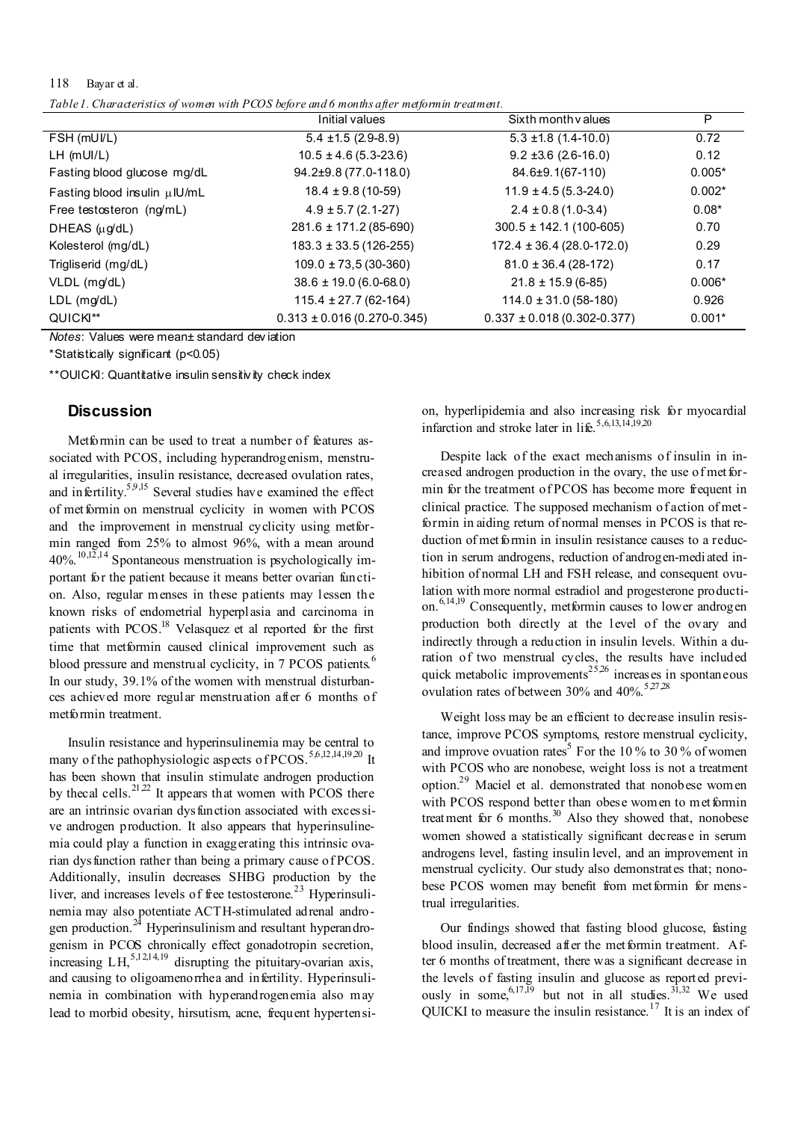### 118 Bayar et al.

*Table 1. Characteristics of women with PCOS before and 6 months after metformin treatment.* 

|                              | Initial values                    | Sixth month values               | P        |
|------------------------------|-----------------------------------|----------------------------------|----------|
| FSH (mUI/L)                  | $5.4 \pm 1.5$ (2.9-8.9)           | $5.3 \pm 1.8$ (1.4-10.0)         | 0.72     |
| $LH$ (mUI/L)                 | $10.5 \pm 4.6 (5.3 - 23.6)$       | $9.2 \pm 3.6$ (2.6-16.0)         | 0.12     |
| Fasting blood glucose mg/dL  | $94.2\pm9.8(77.0-118.0)$          | $84.6 \pm 9.1(67 - 110)$         | $0.005*$ |
| Fasting blood insulin µIU/mL | $18.4 \pm 9.8$ (10-59)            | $11.9 \pm 4.5(5.3-24.0)$         | $0.002*$ |
| Free testosteron (ng/mL)     | $4.9 \pm 5.7$ (2.1-27)            | $2.4 \pm 0.8$ (1.0-3.4)          | $0.08*$  |
| DHEAS (µq/dL)                | $281.6 \pm 171.2$ (85-690)        | $300.5 \pm 142.1(100-605)$       | 0.70     |
| Kolesterol (mg/dL)           | $183.3 \pm 33.5(126-255)$         | $172.4 \pm 36.4 (28.0 - 172.0)$  | 0.29     |
| Trigliserid (mg/dL)          | $109.0 \pm 73.5(30-360)$          | $81.0 \pm 36.4$ (28-172)         | 0.17     |
| VLDL (mg/dL)                 | $38.6 \pm 19.0$ (6.0-68.0)        | $21.8 \pm 15.9$ (6-85)           | $0.006*$ |
| $LDL$ (mg/dL)                | $115.4 \pm 27.7$ (62-164)         | $114.0 \pm 31.0 (58-180)$        | 0.926    |
| QUICKI**                     | $0.313 \pm 0.016 (0.270 - 0.345)$ | $0.337 \pm 0.018(0.302 - 0.377)$ | $0.001*$ |

*Notes*: Values were mean± standard dev iation

\*Statistically significant (p<0.05)

\*\*OUICKI: Quantitative insulin sensitivity check index

#### **Discussion**

Metformin can be used to treat a number of features associated with PCOS, including hyperandrogenism, menstrual irregularities, insulin resistance, decreased ovulation rates, and infertility.<sup>5,9,15</sup> Several studies have examined the effect of met formin on menstrual cyclicity in women with PCOS and the improvement in menstrual cyclicity using metformin ranged from 25% to almost 96%, with a mean around  $40\%$ .<sup>10,12,14</sup> Spontaneous menstruation is psychologically important for the patient because it means better ovarian function. Also, regular menses in these patients may lessen the known risks of endometrial hyperplasia and carcinoma in patients with PCOS.<sup>18</sup> Velasquez et al reported for the first time that metformin caused clinical improvement such as blood pressure and menstrual cyclicity, in 7 PCOS patients.<sup>6</sup> In our study, 39.1% of the women with menstrual disturbances achieved more regular menstruation after 6 months of metformin treatment.

Insulin resistance and hyperinsulinemia may be central to many of the pathophysiologic aspects of PCOS.<sup>5,6,12,14,19,20</sup> It has been shown that insulin stimulate androgen production by thecal cells.<sup>21,22</sup> It appears that women with PCOS there are an intrinsic ovarian dysfunction associated with excessive androgen production. It also appears that hyperinsulinemia could play a function in exaggerating this intrinsic ovarian dysfunction rather than being a primary cause of PCOS. Additionally, insulin decreases SHBG production by the liver, and increases levels of free testosterone.<sup>23</sup> Hyperinsulinemia may also potentiate ACTH-stimulated adrenal androgen production. $^{24}$  Hyperinsulinism and resultant hyperandrogenism in PCOS chronically effect gonadotropin secretion, increasing  $LH$ ,  $5,12,14,19$  disrupting the pituitary-ovarian axis, and causing to oligoamenorrhea and infertility. Hyperinsulinemia in combination with hyperandrogenemia also may lead to morbid obesity, hirsutism, acne, frequent hypertension, hyperlipidemia and also increasing risk for myocardial infarction and stroke later in life.<sup>5,6,13,14,19,20</sup>

Despite lack of the exact mechanisms of insulin in increased androgen production in the ovary, the use of met formin for the treatment of PCOS has become more frequent in clinical practice. The supposed mechanism of action of metformin in aiding return of normal menses in PCOS is that reduction of met formin in insulin resistance causes to a reduction in serum androgens, reduction of androgen-mediated inhibition of normal LH and FSH release, and consequent ovulation with more normal estradiol and progesterone production.<sup>6,14,19</sup> Consequently, metformin causes to lower androgen production both directly at the level of the ovary and indirectly through a reduction in insulin levels. Within a duration of two menstrual cycles, the results have included quick metabolic improvements<sup>25,26</sup> increases in spontaneous ovulation rates of between 30% and  $40\%$ .<sup>5,27,28</sup>

Weight loss may be an efficient to decrease insulin resistance, improve PCOS symptoms, restore menstrual cyclicity, and improve ovuation rates<sup>5</sup> For the 10 % to 30 % of women with PCOS who are nonobese, weight loss is not a treatment option.29 Maciel et al. demonstrated that nonobese women with PCOS respond better than obese women to met formin treatment for  $6$  months.<sup>30</sup> Also they showed that, nonobese women showed a statistically significant decrease in serum androgens level, fasting insulin level, and an improvement in menstrual cyclicity. Our study also demonstrates that; nonobese PCOS women may benefit from met formin for menstrual irregularities.

Our findings showed that fasting blood glucose, fasting blood insulin, decreased after the metformin treatment. After 6 months of treatment, there was a significant decrease in the levels of fasting insulin and glucose as reported previously in some,  $6,17,19$  but not in all studies.<sup>31,32</sup> We used QUICKI to measure the insulin resistance.<sup>17</sup> It is an index of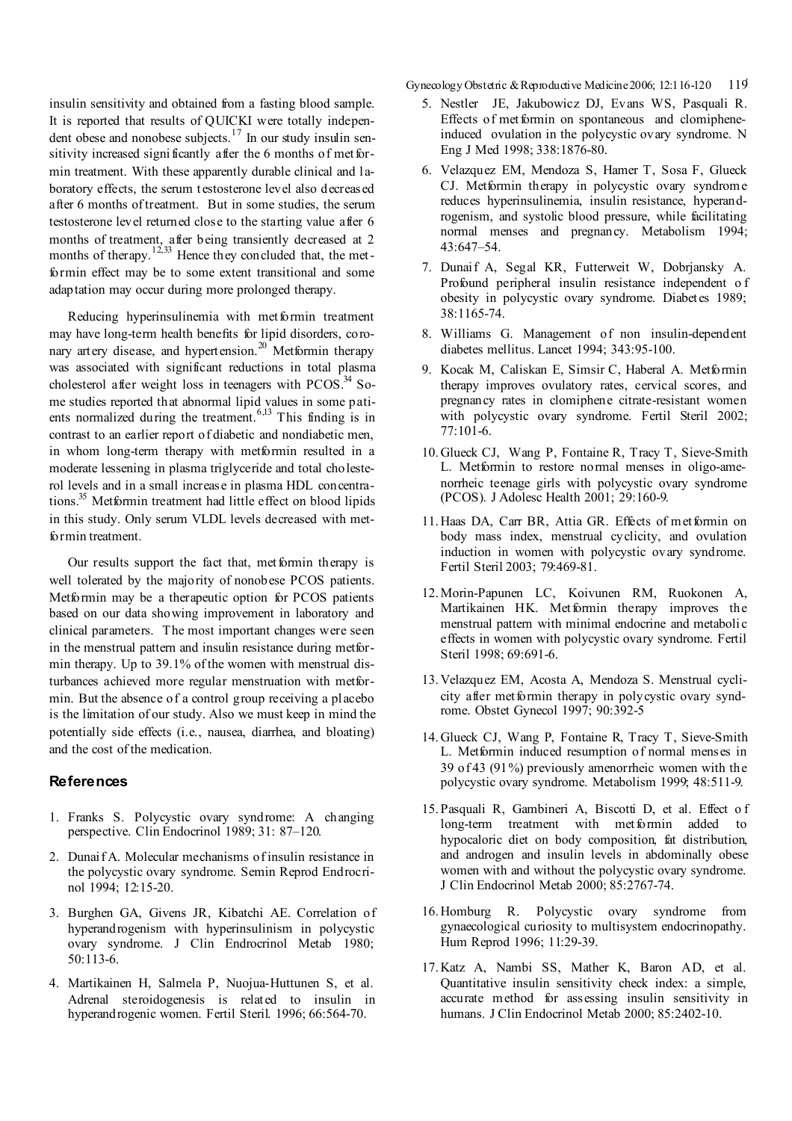insulin sensitivity and obtained from a fasting blood sample. It is reported that results of QUICKI were totally independent obese and nonobese subjects.<sup>17</sup> In our study insulin sensitivity increased significantly after the 6 months of metformin treatment. With these apparently durable clinical and laboratory effects, the serum testosterone level also decreased after 6 months of treatment. But in some studies, the serum testosterone level returned close to the starting value after 6 months of treatment, after being transiently decreased at 2 months of therapy.<sup>12,33</sup> Hence they concluded that, the metformin effect may be to some extent transitional and some adaptation may occur during more prolonged therapy.

Reducing hyperinsulinemia with met formin treatment may have long-term health benefits for lipid disorders, coronary artery disease, and hypertension.<sup>20</sup> Metformin therapy was associated with significant reductions in total plasma cholesterol after weight loss in teenagers with  $PCOS$ .<sup>34</sup> Some studies reported that abnormal lipid values in some patients normalized during the treatment.  $6,13$  This finding is in contrast to an earlier report of diabetic and nondiabetic men, in whom long-term therapy with metformin resulted in a moderate lessening in plasma triglyceride and total cholesterol levels and in a small increase in plasma HDL concentrations.35 Metformin treatment had little effect on blood lipids in this study. Only serum VLDL levels decreased with metformin treatment.

Our results support the fact that, met formin therapy is well tolerated by the majority of nonobese PCOS patients. Metformin may be a therapeutic option for PCOS patients based on our data showing improvement in laboratory and clinical parameters. The most important changes were seen in the menstrual pattern and insulin resistance during metformin therapy. Up to 39.1% of the women with menstrual disturbances achieved more regular menstruation with metformin. But the absence of a control group receiving a placebo is the limitation of our study. Also we must keep in mind the potentially side effects (i.e., nausea, diarrhea, and bloating) and the cost of the medication.

## **References**

- 1. Franks S. Polycystic ovary syndrome: A changing perspective. Clin Endocrinol 1989; 31: 87–120.
- 2. Dunaif A. Molecular mechanisms of insulin resistance in the polycystic ovary syndrome. Semin Reprod Endrocrinol 1994; 12:15-20.
- 3. Burghen GA, Givens JR, Kibatchi AE. Correlation of hyperandrogenism with hyperinsulinism in polycystic ovary syndrome. J Clin Endrocrinol Metab 1980; 50:113-6.
- 4. Martikainen H, Salmela P, Nuojua-Huttunen S, et al. Adrenal steroidogenesis is related to insulin in hyperandrogenic women. Fertil Steril. 1996; 66:564-70.

Gynecology Obstetric & Reproductive Medicine 2006; 12:116-120 119

- 5. Nestler JE, Jakubowicz DJ, Evans WS, Pasquali R. Effects of metformin on spontaneous and clomipheneinduced ovulation in the polycystic ovary syndrome. N Eng J Med 1998; 338:1876-80.
- 6. Velazquez EM, Mendoza S, Hamer T, Sosa F, Glueck CJ. Metformin therapy in polycystic ovary syndrome reduces hyperinsulinemia, insulin resistance, hyperandrogenism, and systolic blood pressure, while facilitating normal menses and pregnancy. Metabolism 1994; 43:647–54.
- 7. Dunaif A, Segal KR, Futterweit W, Dobrjansky A. Profound peripheral insulin resistance independent o f obesity in polycystic ovary syndrome. Diabetes 1989; 38:1165-74.
- 8. Williams G. Management of non insulin-dependent diabetes mellitus. Lancet 1994; 343:95-100.
- 9. Kocak M, Caliskan E, Simsir C, Haberal A. Metformin therapy improves ovulatory rates, cervical scores, and pregnancy rates in clomiphene citrate-resistant women with polycystic ovary syndrome. Fertil Steril 2002; 77:101-6.
- 10. Glueck CJ, Wang P, Fontaine R, Tracy T, Sieve-Smith L. Metformin to restore normal menses in oligo-amenorrheic teenage girls with polycystic ovary syndrome (PCOS). J Adolesc Health 2001; 29:160-9.
- 11. Haas DA, Carr BR, Attia GR. Effects of met formin on body mass index, menstrual cyclicity, and ovulation induction in women with polycystic ovary syndrome. Fertil Steril 2003; 79:469-81.
- 12. Morin-Papunen LC, Koivunen RM, Ruokonen A, Martikainen HK. Metformin therapy improves the menstrual pattern with minimal endocrine and metabolic effects in women with polycystic ovary syndrome. Fertil Steril 1998; 69:691-6.
- 13. Velazquez EM, Acosta A, Mendoza S. Menstrual cyclicity after metformin therapy in polycystic ovary syndrome. Obstet Gynecol 1997; 90:392-5
- 14. Glueck CJ, Wang P, Fontaine R, Tracy T, Sieve-Smith L. Metformin induced resumption of normal menses in 39 of 43 (91%) previously amenorrheic women with the polycystic ovary syndrome. Metabolism 1999; 48:511-9.
- 15. Pasquali R, Gambineri A, Biscotti D, et al. Effect o f long-term treatment with metformin added to hypocaloric diet on body composition, fat distribution, and androgen and insulin levels in abdominally obese women with and without the polycystic ovary syndrome. J Clin Endocrinol Metab 2000; 85:2767-74.
- 16. Homburg R. Polycystic ovary syndrome from gynaecological curiosity to multisystem endocrinopathy. Hum Reprod 1996; 11:29-39.
- 17. Katz A, Nambi SS, Mather K, Baron AD, et al. Quantitative insulin sensitivity check index: a simple, accurate method for assessing insulin sensitivity in humans. J Clin Endocrinol Metab 2000: 85:2402-10.